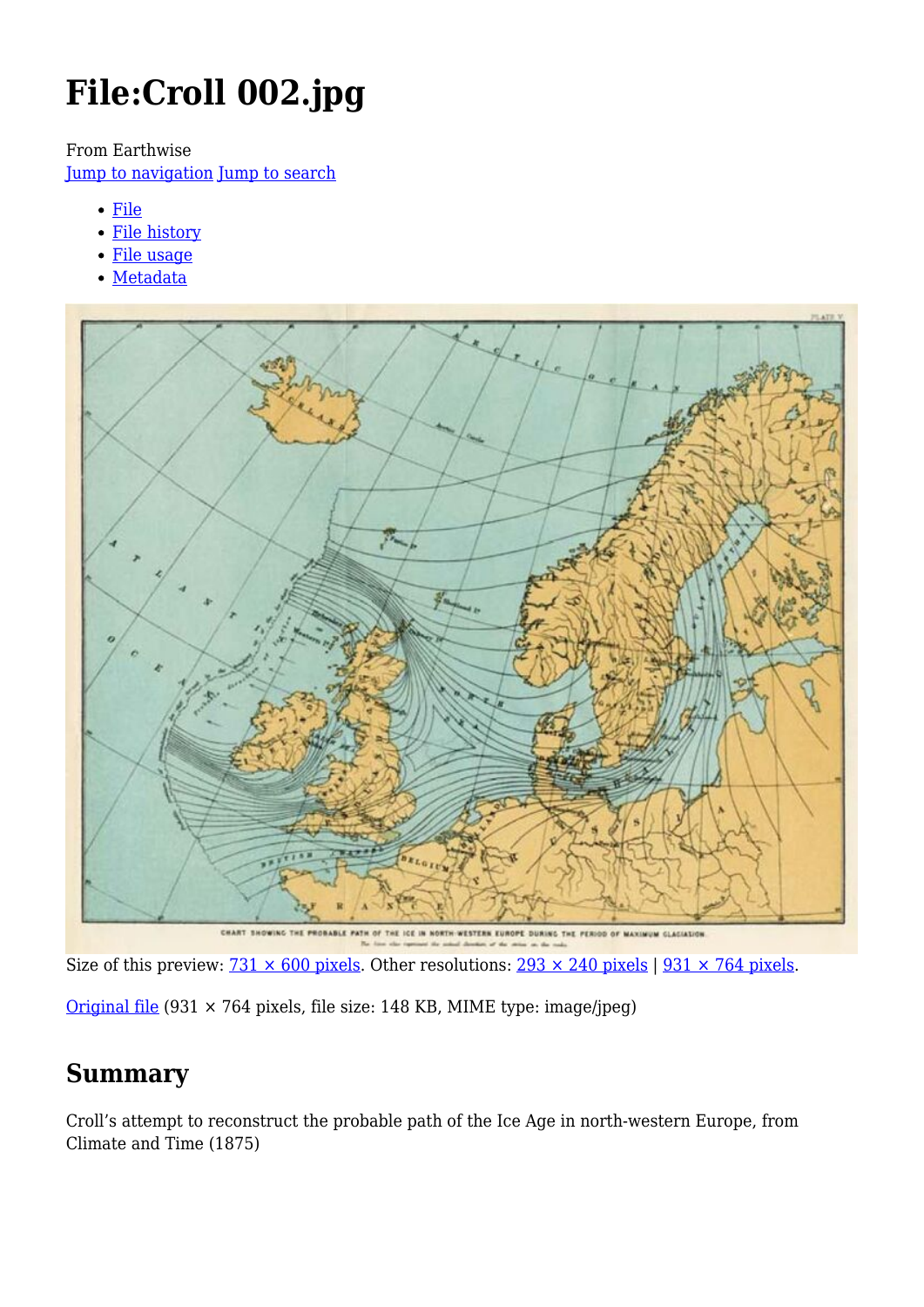# **File:Croll 002.jpg**

From Earthwise

[Jump to navigation](#page--1-0) [Jump to search](#page--1-0)

- [File](#page--1-0)
- [File history](#page--1-0)
- [File usage](#page--1-0)
- [Metadata](#page--1-0)



Size of this preview:  $\frac{731 \times 600 \text{ pixels}}{231 \text{ seconds}}$ . Other resolutions:  $\frac{293 \times 240 \text{ pixels}}{231 \times 764 \text{ pixels}}$ .

[Original file](http://earthwise.bgs.ac.uk/images/1/17/Croll_002.jpg) (931 × 764 pixels, file size: 148 KB, MIME type: image/jpeg)

### **Summary**

Croll's attempt to reconstruct the probable path of the Ice Age in north-western Europe, from Climate and Time (1875)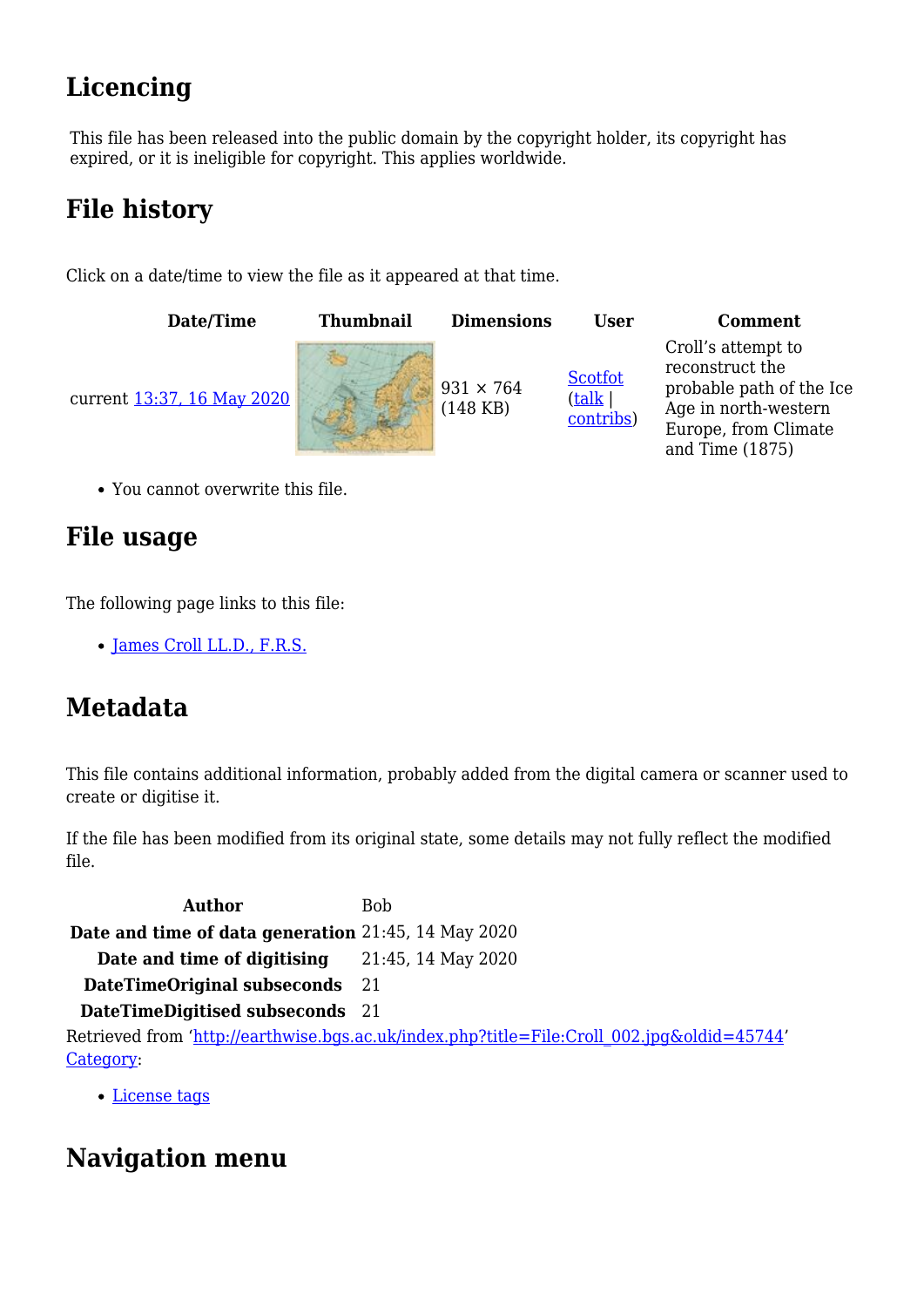# **Licencing**

This file has been released into the public domain by the copyright holder, its copyright has expired, or it is ineligible for copyright. This applies worldwide.

# **File history**

Click on a date/time to view the file as it appeared at that time.



You cannot overwrite this file.

### **File usage**

The following page links to this file:

• [James Croll LL.D., F.R.S.](http://earthwise.bgs.ac.uk/index.php/James_Croll_LL.D.,_F.R.S.)

### **Metadata**

This file contains additional information, probably added from the digital camera or scanner used to create or digitise it.

If the file has been modified from its original state, some details may not fully reflect the modified file.

Author Bob **Date and time of data generation** 21:45, 14 May 2020 **Date and time of digitising** 21:45, 14 May 2020 **DateTimeOriginal subseconds** 21 **DateTimeDigitised subseconds** 21 Retrieved from ['http://earthwise.bgs.ac.uk/index.php?title=File:Croll\\_002.jpg&oldid=45744](http://earthwise.bgs.ac.uk/index.php?title=File:Croll_002.jpg&oldid=45744)' [Category](http://earthwise.bgs.ac.uk/index.php/Special:Categories):

[License tags](http://earthwise.bgs.ac.uk/index.php/Category:License_tags)

# **Navigation menu**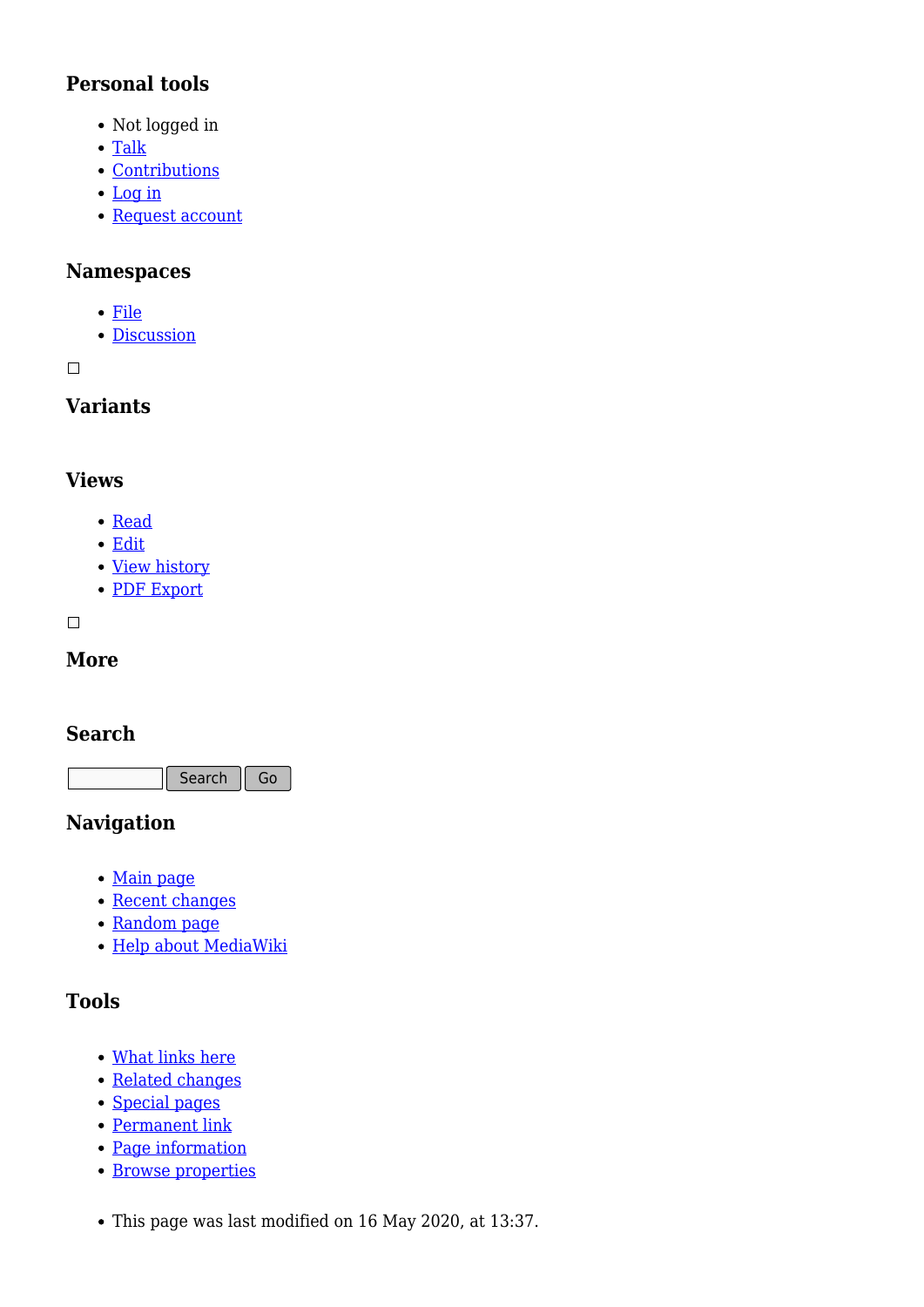#### **Personal tools**

- Not logged in
- [Talk](http://earthwise.bgs.ac.uk/index.php/Special:MyTalk)
- [Contributions](http://earthwise.bgs.ac.uk/index.php/Special:MyContributions)
- [Log in](http://earthwise.bgs.ac.uk/index.php?title=Special:UserLogin&returnto=File%3ACroll+002.jpg&returntoquery=action%3Dmpdf)
- [Request account](http://earthwise.bgs.ac.uk/index.php/Special:RequestAccount)

#### **Namespaces**

- [File](http://earthwise.bgs.ac.uk/index.php/File:Croll_002.jpg)
- [Discussion](http://earthwise.bgs.ac.uk/index.php?title=File_talk:Croll_002.jpg&action=edit&redlink=1)

 $\Box$ 

#### **Variants**

#### **Views**

- [Read](http://earthwise.bgs.ac.uk/index.php/File:Croll_002.jpg)
- [Edit](http://earthwise.bgs.ac.uk/index.php?title=File:Croll_002.jpg&action=edit)
- [View history](http://earthwise.bgs.ac.uk/index.php?title=File:Croll_002.jpg&action=history)
- [PDF Export](http://earthwise.bgs.ac.uk/index.php?title=File:Croll_002.jpg&action=mpdf)

 $\overline{\phantom{a}}$ 

#### **More**

#### **Search**

Search Go

#### **Navigation**

- [Main page](http://earthwise.bgs.ac.uk/index.php/Main_Page)
- [Recent changes](http://earthwise.bgs.ac.uk/index.php/Special:RecentChanges)
- [Random page](http://earthwise.bgs.ac.uk/index.php/Special:Random)
- [Help about MediaWiki](https://www.mediawiki.org/wiki/Special:MyLanguage/Help:Contents)

#### **Tools**

- [What links here](http://earthwise.bgs.ac.uk/index.php/Special:WhatLinksHere/File:Croll_002.jpg)
- [Related changes](http://earthwise.bgs.ac.uk/index.php/Special:RecentChangesLinked/File:Croll_002.jpg)
- [Special pages](http://earthwise.bgs.ac.uk/index.php/Special:SpecialPages)
- [Permanent link](http://earthwise.bgs.ac.uk/index.php?title=File:Croll_002.jpg&oldid=45744)
- [Page information](http://earthwise.bgs.ac.uk/index.php?title=File:Croll_002.jpg&action=info)
- **[Browse properties](http://earthwise.bgs.ac.uk/index.php/Special:Browse/:File:Croll-5F002.jpg)**
- This page was last modified on 16 May 2020, at 13:37.